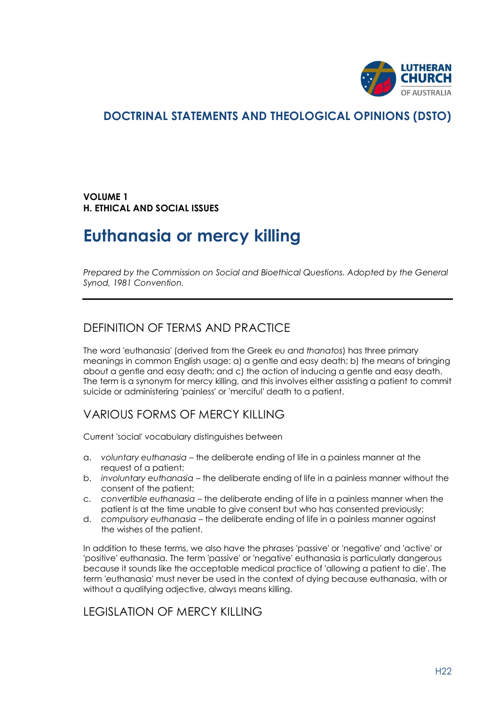

# **DOCTRINAL STATEMENTS AND THEOLOGICAL OPINIONS (DSTO)**

#### **VOLUME 1 H. ETHICAL AND SOCIAL ISSUES**

# **Euthanasia or mercy killing**

*Prepared by the Commission on Social and Bioethical Questions. Adopted by the General Synod, 1981 Convention.*

### DEFINITION OF TERMS AND PRACTICE

The word 'euthanasia' (derived from the Greek *eu* and *thanatos*) has three primary meanings in common English usage: a) a gentle and easy death; b) the means of bringing about a gentle and easy death; and c) the action of inducing a gentle and easy death. The term is a synonym for mercy killing, and this involves either assisting a patient to commit suicide or administering 'painless' or 'merciful' death to a patient.

### VARIOUS FORMS OF MERCY KILLING

Current 'social' vocabulary distinguishes between

- a. *voluntary euthanasia* the deliberate ending of life in a painless manner at the request of a patient;
- b. *involuntary euthanasia* the deliberate ending of life in a painless manner without the consent of the patient;
- c. *convertible euthanasia* the deliberate ending of life in a painless manner when the patient is at the time unable to give consent but who has consented previously;
- d. *compulsory euthanasia* the deliberate ending of life in a painless manner against the wishes of the patient.

In addition to these terms, we also have the phrases 'passive' or 'negative' and 'active' or 'positive' euthanasia. The term 'passive' or 'negative' euthanasia is particularly dangerous because it sounds like the acceptable medical practice of 'allowing a patient to die'. The term 'euthanasia' must never be used in the context of dying because euthanasia, with or without a qualifying adjective, always means killing.

### LEGISLATION OF MERCY KILLING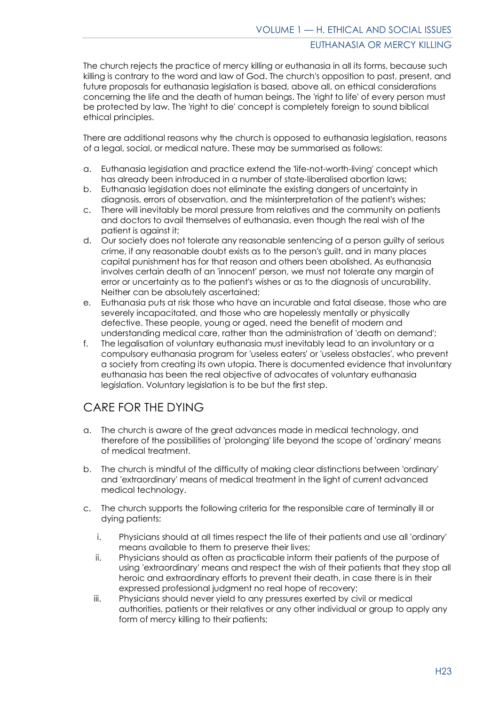#### EUTHANASIA OR MERCY KILLING

The church rejects the practice of mercy killing or euthanasia in all its forms, because such killing is contrary to the word and law of God. The church's opposition to past, present, and future proposals for euthanasia legislation is based, above all, on ethical considerations concerning the life and the death of human beings. The 'right to life' of every person must be protected by law. The 'right to die' concept is completely foreign to sound biblical ethical principles.

There are additional reasons why the church is opposed to euthanasia legislation, reasons of a legal, social, or medical nature. These may be summarised as follows:

- a. Euthanasia legislation and practice extend the 'life-not-worth-living' concept which has already been introduced in a number of state-liberalised abortion laws;
- b. Euthanasia legislation does not eliminate the existing dangers of uncertainty in diagnosis, errors of observation, and the misinterpretation of the patient's wishes;
- c. There will inevitably be moral pressure from relatives and the community on patients and doctors to avail themselves of euthanasia, even though the real wish of the patient is against it;
- d. Our society does not tolerate any reasonable sentencing of a person guilty of serious crime, if any reasonable doubt exists as to the person's guilt, and in many places capital punishment has for that reason and others been abolished. As euthanasia involves certain death of an 'innocent' person, we must not tolerate any margin of error or uncertainty as to the patient's wishes or as to the diagnosis of uncurability. Neither can be absolutely ascertained;
- e. Euthanasia puts at risk those who have an incurable and fatal disease, those who are severely incapacitated, and those who are hopelessly mentally or physically defective. These people, young or aged, need the benefit of modern and understanding medical care, rather than the administration of 'death on demand';
- f. The legalisation of voluntary euthanasia must inevitably lead to an involuntary or a compulsory euthanasia program for 'useless eaters' or 'useless obstacles', who prevent a society from creating its own utopia. There is documented evidence that involuntary euthanasia has been the real objective of advocates of voluntary euthanasia legislation. Voluntary legislation is to be but the first step.

## CARE FOR THE DYING

- a. The church is aware of the great advances made in medical technology, and therefore of the possibilities of 'prolonging' life beyond the scope of 'ordinary' means of medical treatment.
- b. The church is mindful of the difficulty of making clear distinctions between 'ordinary' and 'extraordinary' means of medical treatment in the light of current advanced medical technology.
- c. The church supports the following criteria for the responsible care of terminally ill or dying patients:
	- i. Physicians should at all times respect the life of their patients and use all 'ordinary' means available to them to preserve their lives;
	- ii. Physicians should as often as practicable inform their patients of the purpose of using 'extraordinary' means and respect the wish of their patients that they stop all heroic and extraordinary efforts to prevent their death, in case there is in their expressed professional judgment no real hope of recovery;
	- iii. Physicians should never yield to any pressures exerted by civil or medical authorities, patients or their relatives or any other individual or group to apply any form of mercy killing to their patients;